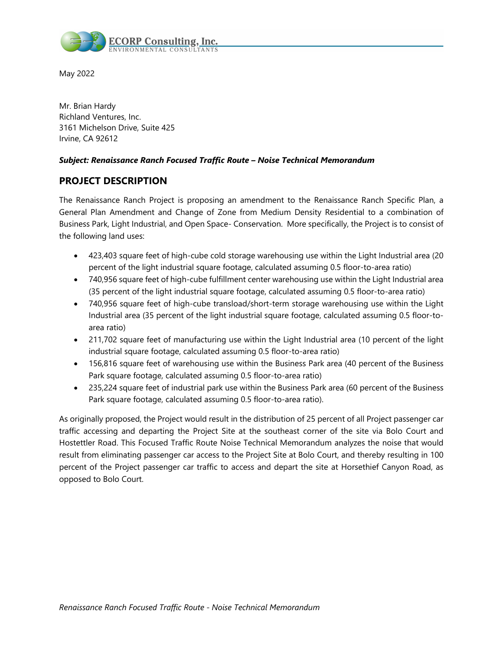

May 2022

Mr. Brian Hardy Richland Ventures, Inc. 3161 Michelson Drive, Suite 425 Irvine, CA 92612

## *Subject: Renaissance Ranch Focused Traffic Route – Noise Technical Memorandum*

# **PROJECT DESCRIPTION**

The Renaissance Ranch Project is proposing an amendment to the Renaissance Ranch Specific Plan, a General Plan Amendment and Change of Zone from Medium Density Residential to a combination of Business Park, Light Industrial, and Open Space- Conservation. More specifically, the Project is to consist of the following land uses:

- 423,403 square feet of high-cube cold storage warehousing use within the Light Industrial area (20 percent of the light industrial square footage, calculated assuming 0.5 floor-to-area ratio)
- 740,956 square feet of high-cube fulfillment center warehousing use within the Light Industrial area (35 percent of the light industrial square footage, calculated assuming 0.5 floor-to-area ratio)
- 740,956 square feet of high-cube transload/short-term storage warehousing use within the Light Industrial area (35 percent of the light industrial square footage, calculated assuming 0.5 floor-toarea ratio)
- 211,702 square feet of manufacturing use within the Light Industrial area (10 percent of the light industrial square footage, calculated assuming 0.5 floor-to-area ratio)
- 156,816 square feet of warehousing use within the Business Park area (40 percent of the Business Park square footage, calculated assuming 0.5 floor-to-area ratio)
- 235,224 square feet of industrial park use within the Business Park area (60 percent of the Business Park square footage, calculated assuming 0.5 floor-to-area ratio).

As originally proposed, the Project would result in the distribution of 25 percent of all Project passenger car traffic accessing and departing the Project Site at the southeast corner of the site via Bolo Court and Hostettler Road. This Focused Traffic Route Noise Technical Memorandum analyzes the noise that would result from eliminating passenger car access to the Project Site at Bolo Court, and thereby resulting in 100 percent of the Project passenger car traffic to access and depart the site at Horsethief Canyon Road, as opposed to Bolo Court.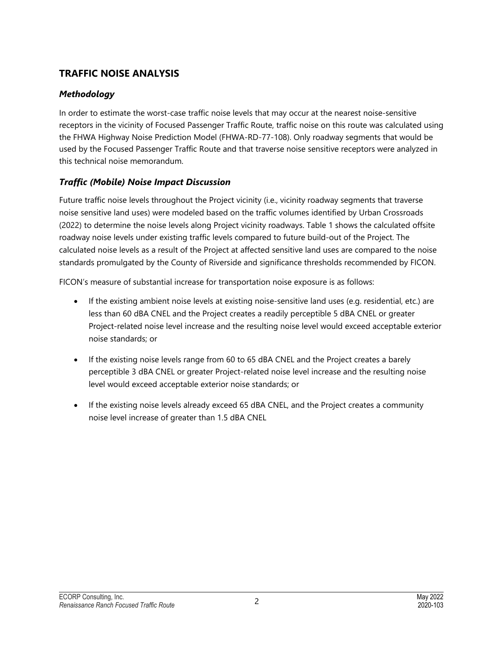# **TRAFFIC NOISE ANALYSIS**

# *Methodology*

In order to estimate the worst-case traffic noise levels that may occur at the nearest noise-sensitive receptors in the vicinity of Focused Passenger Traffic Route, traffic noise on this route was calculated using the FHWA Highway Noise Prediction Model (FHWA-RD-77-108). Only roadway segments that would be used by the Focused Passenger Traffic Route and that traverse noise sensitive receptors were analyzed in this technical noise memorandum.

# *Traffic (Mobile) Noise Impact Discussion*

Future traffic noise levels throughout the Project vicinity (i.e., vicinity roadway segments that traverse noise sensitive land uses) were modeled based on the traffic volumes identified by Urban Crossroads (2022) to determine the noise levels along Project vicinity roadways. Table 1 shows the calculated offsite roadway noise levels under existing traffic levels compared to future build-out of the Project. The calculated noise levels as a result of the Project at affected sensitive land uses are compared to the noise standards promulgated by the County of Riverside and significance thresholds recommended by FICON.

FICON's measure of substantial increase for transportation noise exposure is as follows:

- If the existing ambient noise levels at existing noise-sensitive land uses (e.g. residential, etc.) are less than 60 dBA CNEL and the Project creates a readily perceptible 5 dBA CNEL or greater Project-related noise level increase and the resulting noise level would exceed acceptable exterior noise standards; or
- If the existing noise levels range from 60 to 65 dBA CNEL and the Project creates a barely perceptible 3 dBA CNEL or greater Project-related noise level increase and the resulting noise level would exceed acceptable exterior noise standards; or
- If the existing noise levels already exceed 65 dBA CNEL, and the Project creates a community noise level increase of greater than 1.5 dBA CNEL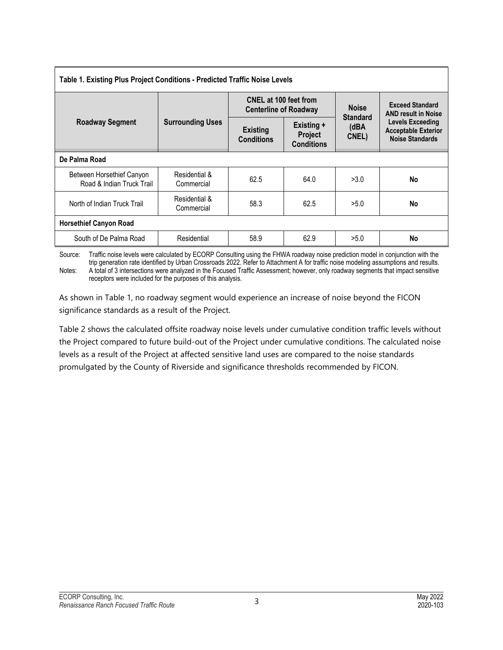| Table 1. Existing Plus Project Conditions - Predicted Traffic Noise Levels |                             |                                                              |                                            |                                  |                                                                          |  |  |  |  |  |  |
|----------------------------------------------------------------------------|-----------------------------|--------------------------------------------------------------|--------------------------------------------|----------------------------------|--------------------------------------------------------------------------|--|--|--|--|--|--|
| <b>Roadway Segment</b>                                                     |                             | <b>CNEL at 100 feet from</b><br><b>Centerline of Roadway</b> |                                            | <b>Noise</b>                     | <b>Exceed Standard</b><br><b>AND result in Noise</b>                     |  |  |  |  |  |  |
|                                                                            | <b>Surrounding Uses</b>     | <b>Existing</b><br><b>Conditions</b>                         | Existing +<br>Project<br><b>Conditions</b> | <b>Standard</b><br>(dBA<br>CNEL) | Levels Exceeding<br><b>Acceptable Exterior</b><br><b>Noise Standards</b> |  |  |  |  |  |  |
| De Palma Road                                                              |                             |                                                              |                                            |                                  |                                                                          |  |  |  |  |  |  |
| Between Horsethief Canyon<br>Road & Indian Truck Trail                     | Residential &<br>Commercial | 62.5                                                         | 64.0                                       | >3.0                             | No                                                                       |  |  |  |  |  |  |
| North of Indian Truck Trail                                                | Residential &<br>Commercial | 58.3                                                         | 62.5                                       | >5.0                             | No                                                                       |  |  |  |  |  |  |
| <b>Horsethief Canyon Road</b>                                              |                             |                                                              |                                            |                                  |                                                                          |  |  |  |  |  |  |
| South of De Palma Road                                                     | Residential                 | 58.9                                                         | 62.9                                       | >5.0                             | No                                                                       |  |  |  |  |  |  |

Source: Traffic noise levels were calculated by ECORP Consulting using the FHWA roadway noise prediction model in conjunction with the trip generation rate identified by Urban Crossroads 2022. Refer to Attachment A for traffic noise modeling assumptions and results. Notes: A total of 3 intersections were analyzed in the Focused Traffic Assessment; however, only roadway segments that impact sensitive receptors were included for the purposes of this analysis.

As shown in Table 1, no roadway segment would experience an increase of noise beyond the FICON significance standards as a result of the Project.

Table 2 shows the calculated offsite roadway noise levels under cumulative condition traffic levels without the Project compared to future build-out of the Project under cumulative conditions. The calculated noise levels as a result of the Project at affected sensitive land uses are compared to the noise standards promulgated by the County of Riverside and significance thresholds recommended by FICON.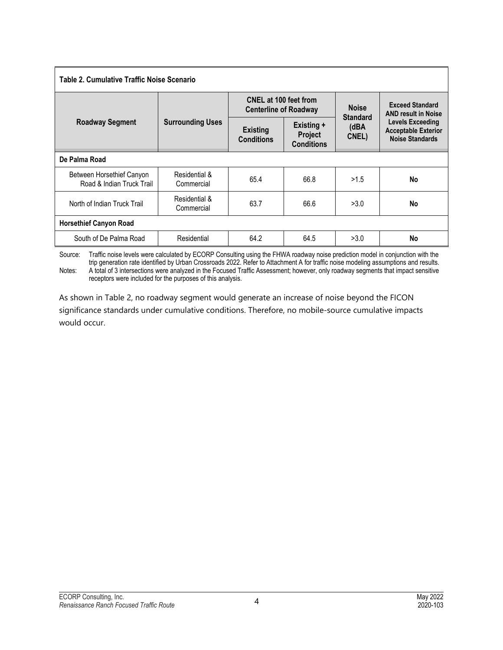| Table 2. Cumulative Traffic Noise Scenario             |                             |                                                              |                                                   |                                  |                                                                                                                                         |  |  |  |  |  |  |
|--------------------------------------------------------|-----------------------------|--------------------------------------------------------------|---------------------------------------------------|----------------------------------|-----------------------------------------------------------------------------------------------------------------------------------------|--|--|--|--|--|--|
| <b>Roadway Segment</b>                                 |                             | <b>CNEL at 100 feet from</b><br><b>Centerline of Roadway</b> |                                                   | <b>Noise</b>                     | <b>Exceed Standard</b><br><b>AND result in Noise</b><br><b>Levels Exceeding</b><br><b>Acceptable Exterior</b><br><b>Noise Standards</b> |  |  |  |  |  |  |
|                                                        | <b>Surrounding Uses</b>     | <b>Existing</b><br><b>Conditions</b>                         | Existing +<br><b>Project</b><br><b>Conditions</b> | <b>Standard</b><br>(dBA<br>CNEL) |                                                                                                                                         |  |  |  |  |  |  |
| De Palma Road                                          |                             |                                                              |                                                   |                                  |                                                                                                                                         |  |  |  |  |  |  |
| Between Horsethief Canyon<br>Road & Indian Truck Trail | Residential &<br>Commercial | 65.4                                                         | 66.8                                              | >1.5                             | No                                                                                                                                      |  |  |  |  |  |  |
| North of Indian Truck Trail                            | Residential &<br>Commercial | 63.7                                                         | 66.6                                              | >3.0                             | No                                                                                                                                      |  |  |  |  |  |  |
| <b>Horsethief Canyon Road</b>                          |                             |                                                              |                                                   |                                  |                                                                                                                                         |  |  |  |  |  |  |
| South of De Palma Road                                 | Residential                 | 64.2                                                         | 64.5                                              | >3.0                             | No                                                                                                                                      |  |  |  |  |  |  |

Source: Traffic noise levels were calculated by ECORP Consulting using the FHWA roadway noise prediction model in conjunction with the trip generation rate identified by Urban Crossroads 2022. Refer to Attachment A for traffic noise modeling assumptions and results. Notes: A total of 3 intersections were analyzed in the Focused Traffic Assessment; however, only roadway segments that impact sensitive receptors were included for the purposes of this analysis.

As shown in Table 2, no roadway segment would generate an increase of noise beyond the FICON significance standards under cumulative conditions. Therefore, no mobile-source cumulative impacts would occur.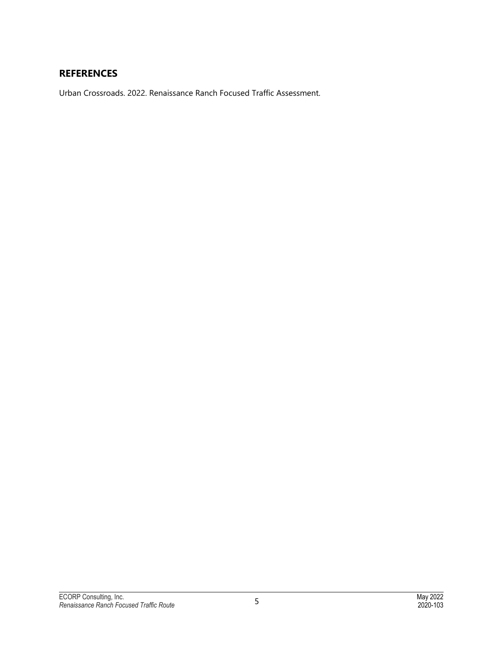# **REFERENCES**

Urban Crossroads. 2022. Renaissance Ranch Focused Traffic Assessment.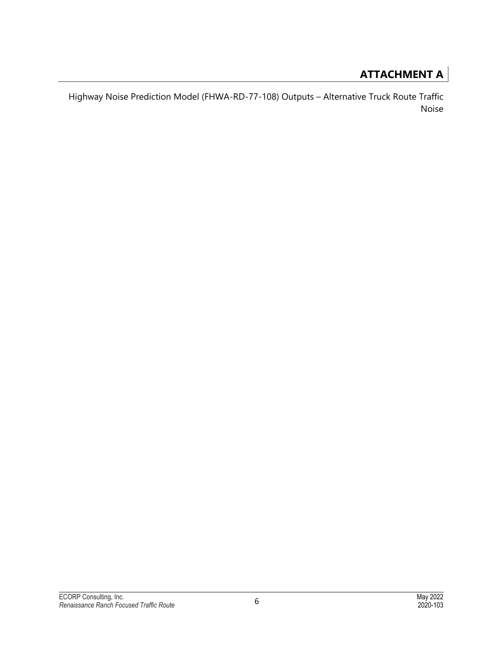# **ATTACHMENT A**

Highway Noise Prediction Model (FHWA-RD-77-108) Outputs – Alternative Truck Route Traffic Noise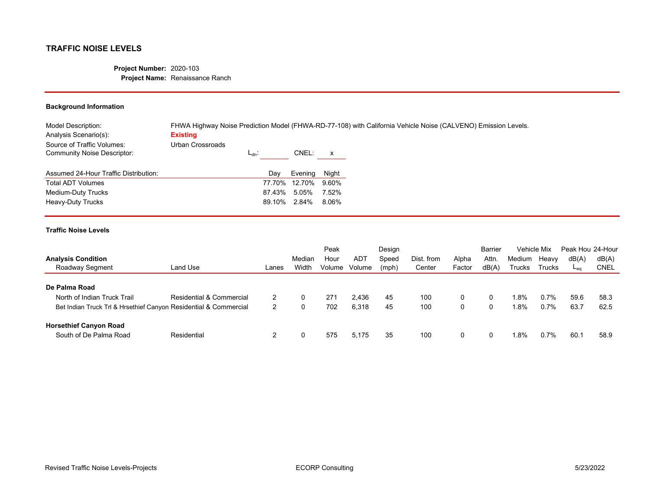#### **Project Number:** 2020-103 **Project Name:** Renaissance Ranch

## **Background Information**

| Model Description:<br>Analysis Scenario(s):               | FHWA Highway Noise Prediction Model (FHWA-RD-77-108) with California Vehicle Noise (CALVENO) Emission Levels.<br><b>Existing</b> |            |               |              |
|-----------------------------------------------------------|----------------------------------------------------------------------------------------------------------------------------------|------------|---------------|--------------|
| Source of Traffic Volumes:<br>Community Noise Descriptor: | Urban Crossroads                                                                                                                 | $L_{dn}$ : | CNEL:         | $\mathsf{x}$ |
| Assumed 24-Hour Traffic Distribution:                     |                                                                                                                                  | Day        | Evenina       | Night        |
| Total ADT Volumes                                         |                                                                                                                                  |            | 77.70% 12.70% | 9.60%        |
| Medium-Duty Trucks                                        |                                                                                                                                  | 87.43%     | 5.05%         | 7.52%        |
| Heavy-Duty Trucks                                         |                                                                                                                                  | 89.10%     | 2.84%         | 8.06%        |

|                                                                  |                          |       |        | Peak   |        | Desian<br>Speed | Dist. from |        | <b>Barrier</b> | Vehicle Mix |               | Peak Hou 24-Hour |             |
|------------------------------------------------------------------|--------------------------|-------|--------|--------|--------|-----------------|------------|--------|----------------|-------------|---------------|------------------|-------------|
| <b>Analysis Condition</b>                                        |                          |       | Median | Hour   | ADT    |                 |            | Alpha  | Attn.          | Medium      | Heavy         | dB(A)            | dB(A)       |
| Roadway Segment                                                  | Land Use                 | Lanes | Width  | Volume | Volume | (mph)           | Center     | Factor | dB(A)          | Trucks      | <b>Trucks</b> | $-$ eq           | <b>CNEL</b> |
|                                                                  |                          |       |        |        |        |                 |            |        |                |             |               |                  |             |
| De Palma Road                                                    |                          |       |        |        |        |                 |            |        |                |             |               |                  |             |
| North of Indian Truck Trail                                      | Residential & Commercial |       |        | 271    | 2.436  | 45              | 100        | 0      | 0              | 1.8%        | 0.7%          | 59.6             | 58.3        |
| Bet Indian Truck Trl & Hrsethief Canyon Residential & Commercial |                          | 2     |        | 702    | 6,318  | 45              | 100        | 0      | 0              | 1.8%        | 0.7%          | 63.7             | 62.5        |
| <b>Horsethief Canyon Road</b>                                    |                          |       |        |        |        |                 |            |        |                |             |               |                  |             |
| South of De Palma Road                                           | Residential              |       |        | 575    | 5.175  | 35              | 100        | 0      | $\mathbf{0}$   | l.8%        | 0.7%          | 60.1             | 58.9        |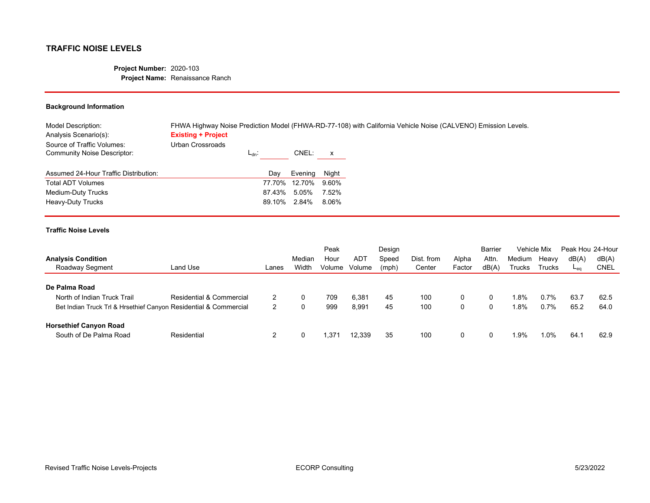#### **Project Number:** 2020-103 **Project Name:** Renaissance Ranch

## **Background Information**

| Model Description:<br>Analysis Scenario(s):               | <b>Existing + Project</b>      |        |               |       | FHWA Highway Noise Prediction Model (FHWA-RD-77-108) with California Vehicle Noise (CALVENO) Emission Levels. |
|-----------------------------------------------------------|--------------------------------|--------|---------------|-------|---------------------------------------------------------------------------------------------------------------|
| Source of Traffic Volumes:<br>Community Noise Descriptor: | Urban Crossroads<br>$L_{dn}$ : |        | CNEL:         | X     |                                                                                                               |
| Assumed 24-Hour Traffic Distribution:                     |                                | Day    | Evening       | Night |                                                                                                               |
| <b>Total ADT Volumes</b>                                  |                                |        | 77.70% 12.70% | 9.60% |                                                                                                               |
| Medium-Duty Trucks                                        |                                | 87.43% | 5.05%         | 7.52% |                                                                                                               |
| Heavy-Duty Trucks                                         |                                | 89.10% | 2.84%         | 8.06% |                                                                                                               |

|                                                                  |                          |       |        | Peak           |        | Design |            |        | <b>Barrier</b> | Vehicle Mix |        | Peak Hou 24-Hour |       |
|------------------------------------------------------------------|--------------------------|-------|--------|----------------|--------|--------|------------|--------|----------------|-------------|--------|------------------|-------|
| <b>Analysis Condition</b>                                        |                          |       | Median | Hour           | AD1    | Speed  | Dist. from | Alpha  | Attn.          | Medium      | Heavy  | dB(A)            | dB(A) |
| Roadway Segment                                                  | Land Use                 | Lanes | Width  | Volume         | Volume | (mph)  | Center     | Factor | dB(A)          | Trucks      | Trucks | ہمكا             | CNEL  |
|                                                                  |                          |       |        |                |        |        |            |        |                |             |        |                  |       |
| De Palma Road                                                    |                          |       |        |                |        |        |            |        |                |             |        |                  |       |
| North of Indian Truck Trail                                      | Residential & Commercial |       |        | 709            | 6,381  | 45     | 100        | 0      | $\mathbf{0}$   | 1.8%        | 0.7%   | 63.7             | 62.5  |
| Bet Indian Truck Trl & Hrsethief Canyon Residential & Commercial |                          | ົ     |        | 999            | 8,991  | 45     | 100        | 0      | 0              | 1.8%        | 0.7%   | 65.2             | 64.0  |
| <b>Horsethief Canyon Road</b>                                    |                          |       |        |                |        |        |            |        |                |             |        |                  |       |
| South of De Palma Road                                           | Residential              |       |        | $.37^{\prime}$ | 12.339 | 35     | 100        | 0      | 0              | 1.9%        | .0%    | 64.              | 62.9  |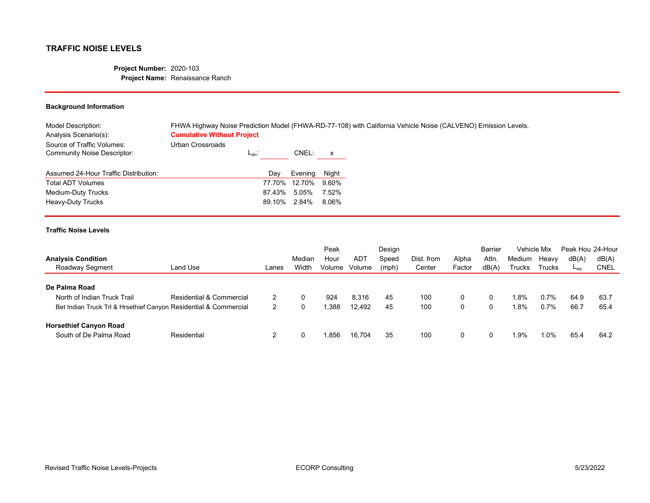#### **Project Number:** 2020-103 **Project Name:** Renaissance Ranch

### **Background Information**

| FHWA Highway Noise Prediction Model (FHWA-RD-77-108) with California Vehicle Noise (CALVENO) Emission Levels. |
|---------------------------------------------------------------------------------------------------------------|
|                                                                                                               |
|                                                                                                               |
|                                                                                                               |
|                                                                                                               |
|                                                                                                               |
|                                                                                                               |

|                                                                  |                          |       |        | Peak   |        | Design |            |        | <b>Barrier</b> | Vehicle Mix |               | Peak Hou 24-Hour |       |
|------------------------------------------------------------------|--------------------------|-------|--------|--------|--------|--------|------------|--------|----------------|-------------|---------------|------------------|-------|
| <b>Analysis Condition</b>                                        |                          |       | Median | Hour   | ADT    | Speed  | Dist. from | Alpha  | Attn.          | Medium      | Heavy         | dB(A)            | dB(A) |
| Roadway Segment                                                  | Land Use                 | Lanes | Width  | Volume | Volume | (mph)  | Center     | Factor | dB(A)          | Trucks      | <b>Trucks</b> | $-$ eq           | CNEL  |
|                                                                  |                          |       |        |        |        |        |            |        |                |             |               |                  |       |
| De Palma Road                                                    |                          |       |        |        |        |        |            |        |                |             |               |                  |       |
| North of Indian Truck Trail                                      | Residential & Commercial |       |        | 924    | 8,316  | 45     | 100        | 0      | $\mathbf{0}$   | l.8%        | 0.7%          | 64.9             | 63.7  |
| Bet Indian Truck Trl & Hrsethief Canyon Residential & Commercial |                          | 2     |        | .388   | 12.492 | 45     | 100        | 0      | 0              | 1.8%        | 0.7%          | 66.7             | 65.4  |
| <b>Horsethief Canyon Road</b>                                    |                          |       |        |        |        |        |            |        |                |             |               |                  |       |
| South of De Palma Road                                           | Residential              |       |        | .856   | 16.704 | 35     | 100        | 0      | 0              | 1.9%        | .0%           | 65.4             | 64.2  |